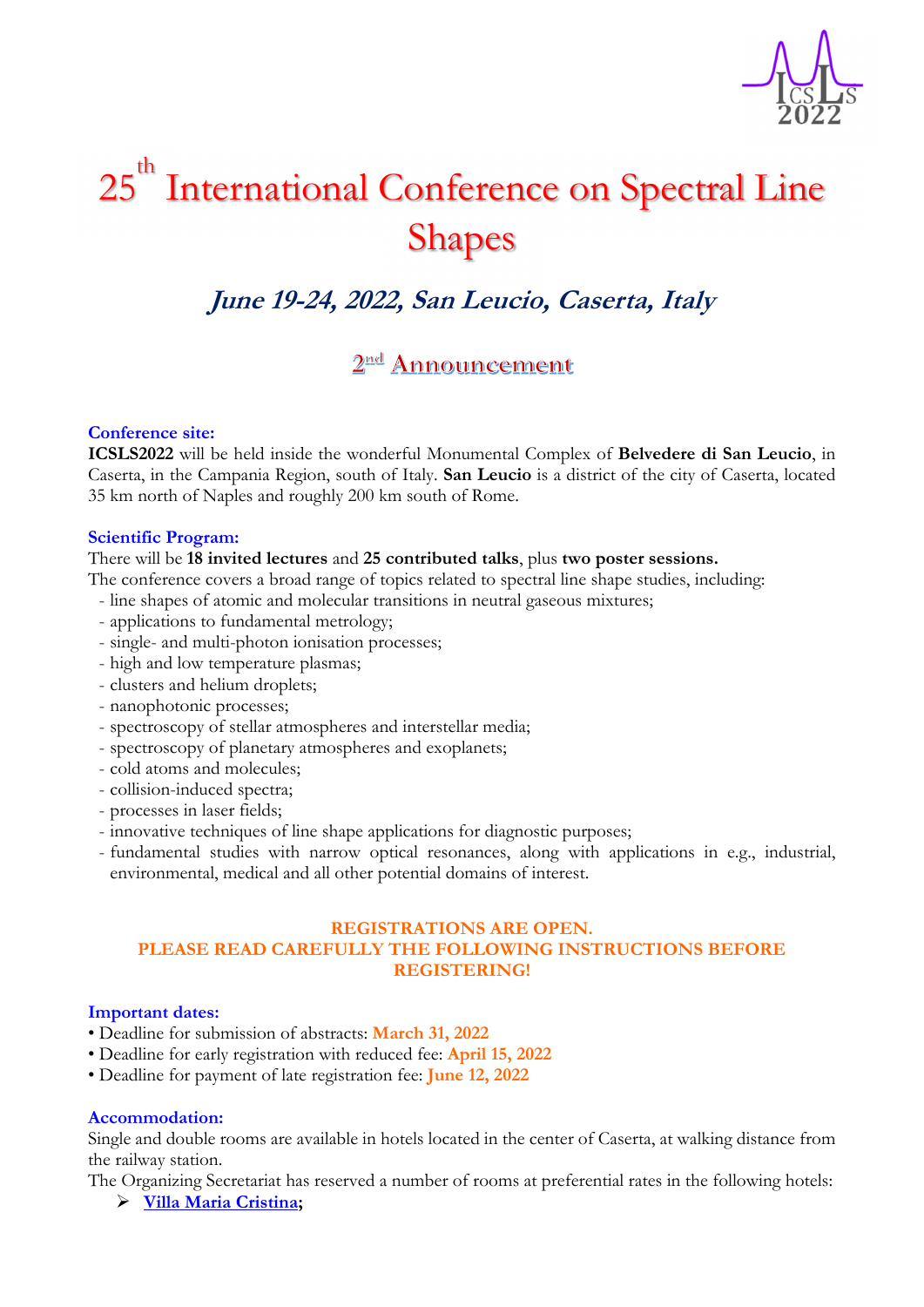

# 25 th International Conference on Spectral Line Shapes

# **June 19-24, 2022, San Leucio, Caserta, Italy**

# 2<sup>nd</sup> Announcement

# **Conference site:**

**ICSLS2022** will be held inside the wonderful Monumental Complex of **Belvedere di San Leucio**, in Caserta, in the Campania Region, south of Italy. **San Leucio** is a district of the city of Caserta, located 35 km north of Naples and roughly 200 km south of Rome.

#### **Scientific Program:**

#### There will be **18 invited lectures** and **25 contributed talks**, plus **two poster sessions.**

The conference covers a broad range of topics related to spectral line shape studies, including:

- line shapes of atomic and molecular transitions in neutral gaseous mixtures;
- applications to fundamental metrology;
- single- and multi-photon ionisation processes;
- high and low temperature plasmas;
- clusters and helium droplets;
- nanophotonic processes;
- spectroscopy of stellar atmospheres and interstellar media;
- spectroscopy of planetary atmospheres and exoplanets;
- cold atoms and molecules;
- collision-induced spectra;
- processes in laser fields;
- innovative techniques of line shape applications for diagnostic purposes;
- fundamental studies with narrow optical resonances, along with applications in e.g., industrial, environmental, medical and all other potential domains of interest.

## **REGISTRATIONS ARE OPEN. PLEASE READ CAREFULLY THE FOLLOWING INSTRUCTIONS BEFORE REGISTERING!**

#### **Important dates:**

- Deadline for submission of abstracts: **March 31, 2022**
- Deadline for early registration with reduced fee: **April 15, 2022**
- Deadline for payment of late registration fee: **June 12, 2022**

#### **Accommodation:**

Single and double rooms are available in hotels located in the center of Caserta, at walking distance from the railway station.

The Organizing Secretariat has reserved a number of rooms at preferential rates in the following hotels:

**Villa Maria Cristina;**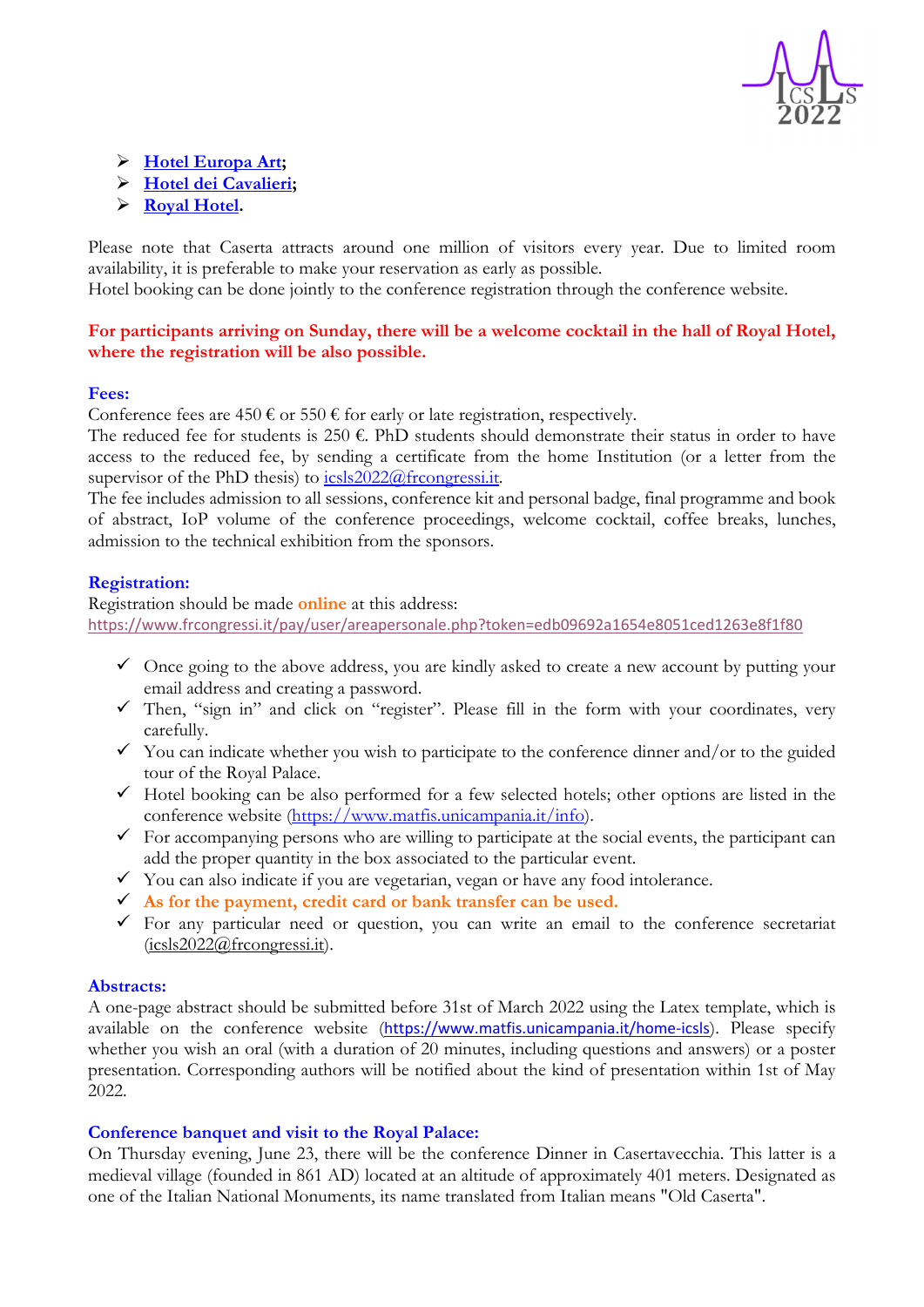

- **Hotel Europa Art;**
- **Hotel dei Cavalieri;**
- **Royal Hotel.**

Please note that Caserta attracts around one million of visitors every year. Due to limited room availability, it is preferable to make your reservation as early as possible.

Hotel booking can be done jointly to the conference registration through the conference website.

**For participants arriving on Sunday, there will be a welcome cocktail in the hall of Royal Hotel, where the registration will be also possible.** 

#### **Fees:**

Conference fees are 450  $\epsilon$  or 550  $\epsilon$  for early or late registration, respectively.

The reduced fee for students is 250 €. PhD students should demonstrate their status in order to have access to the reduced fee, by sending a certificate from the home Institution (or a letter from the supervisor of the PhD thesis) to  $i$ csls $\frac{2022}{a}$ frcongressi.it.

The fee includes admission to all sessions, conference kit and personal badge, final programme and book of abstract, IoP volume of the conference proceedings, welcome cocktail, coffee breaks, lunches, admission to the technical exhibition from the sponsors.

#### **Registration:**

Registration should be made **online** at this address: https://www.frcongressi.it/pay/user/areapersonale.php?token=edb09692a1654e8051ced1263e8f1f80

- $\checkmark$  Once going to the above address, you are kindly asked to create a new account by putting your email address and creating a password.
- $\checkmark$  Then, "sign in" and click on "register". Please fill in the form with your coordinates, very carefully.
- $\checkmark$  You can indicate whether you wish to participate to the conference dinner and/or to the guided tour of the Royal Palace.
- $\checkmark$  Hotel booking can be also performed for a few selected hotels; other options are listed in the conference website (https://www.matfis.unicampania.it/info).
- $\checkmark$  For accompanying persons who are willing to participate at the social events, the participant can add the proper quantity in the box associated to the particular event.
- You can also indicate if you are vegetarian, vegan or have any food intolerance.
- **As for the payment, credit card or bank transfer can be used.**
- $\checkmark$  For any particular need or question, you can write an email to the conference secretariat  $(icsls2022@frcongressi.it).$

#### **Abstracts:**

A one-page abstract should be submitted before 31st of March 2022 using the Latex template, which is available on the conference website (https://www.matfis.unicampania.it/home-icsls). Please specify whether you wish an oral (with a duration of 20 minutes, including questions and answers) or a poster presentation. Corresponding authors will be notified about the kind of presentation within 1st of May 2022.

### **Conference banquet and visit to the Royal Palace:**

On Thursday evening, June 23, there will be the conference Dinner in Casertavecchia. This latter is a medieval village (founded in 861 AD) located at an altitude of approximately 401 meters. Designated as one of the Italian National Monuments, its name translated from Italian means "Old Caserta".